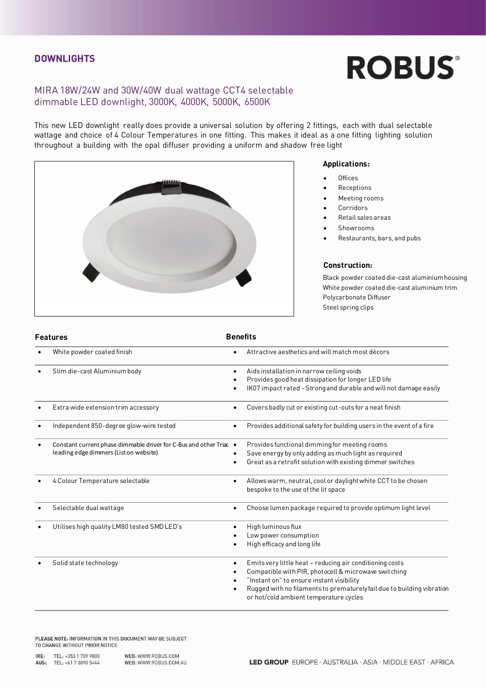### **DOWNLIGHTS**

# **ROBUS®**

## MIRA 18W/24W and 30W/40W dual wattage CCT4 selectable  $d = \frac{1}{2}$

This new LED downlight really does provide a universal solution by offering 2 fittings, each with dual selectable<br>wattage and choice of 4 Colour Temperatures in one fitting. This makes it ideal as a one fitting lighting so throughout a building with the opal diffuser providing a uniform and shadow free light



- **Applications:** • Offices
- **Receptions**
- Meeting rooms
- **Corridors**
- Retail sales areas
- Showrooms
- Restaurants, bars, and pubs

### Construction:

Black powder coated die-cast aluminium housing White powder coated die-cast aluminium trim Polycarbonate Diffuser Steel spring clips Steel spring clips

| <b>Features</b> |                                                                                                              | <b>Benefits</b> |                                                                                                                                                                                                                                                                                   |  |
|-----------------|--------------------------------------------------------------------------------------------------------------|-----------------|-----------------------------------------------------------------------------------------------------------------------------------------------------------------------------------------------------------------------------------------------------------------------------------|--|
|                 | White powder coated finish                                                                                   |                 | Attractive aesthetics and will match most décors                                                                                                                                                                                                                                  |  |
|                 | Slim die-cast Aluminium body                                                                                 | $\bullet$       | Aids installation in narrow ceiling voids<br>Provides good heat dissipation for longer LED life<br>IK07 impact rated - Strong and durable and will not damage easily                                                                                                              |  |
|                 | Extra wide extension trim accessory                                                                          | $\bullet$       | Covers badly cut or existing cut-outs for a neat finish                                                                                                                                                                                                                           |  |
|                 | Independent 850-degree glow-wire tested                                                                      |                 | Provides additional safety for building users in the event of a fire                                                                                                                                                                                                              |  |
|                 | Constant current phase dimmable driver for C-Bus and other Triac ●<br>leading edge dimmers (List on website) |                 | Provides functional dimming for meeting rooms<br>Save energy by only adding as much light as required<br>Great as a retrofit solution with existing dimmer switches                                                                                                               |  |
|                 | 4 Colour Temperature selectable                                                                              | $\bullet$       | Allows warm, neutral, cool or daylight white CCT to be chosen<br>bespoke to the use of the lit space                                                                                                                                                                              |  |
|                 | Selectable dual wattage                                                                                      |                 | Choose lumen package required to provide optimum light level                                                                                                                                                                                                                      |  |
|                 | Utilises high quality LM80 tested SMD LED's                                                                  |                 | High luminous flux<br>Low power consumption<br>High efficacy and long life                                                                                                                                                                                                        |  |
|                 | Solid state technology                                                                                       |                 | Emits very little heat - reducing air conditioning costs<br>Compatible with PIR, photocell & microwave switching<br>"Instant on" to ensure instant visibility<br>Rugged with no filaments to prematurely fail due to building vibration<br>or hot/cold ambient temperature cycles |  |

PLEASE NOTE: INFORMATION IN THIS DOCUMENT MAY BE SUBJECT TO CHANGE WITHOUT PRIOR NOTICE